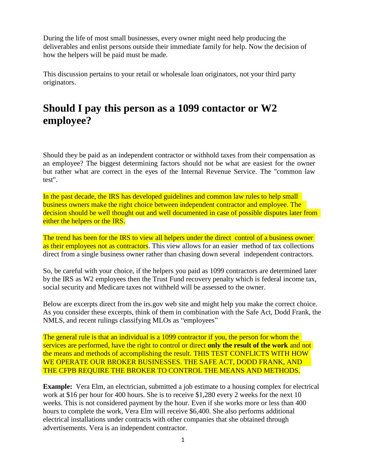During the life of most small businesses, every owner might need help producing the deliverables and enlist persons outside their immediate family for help. Now the decision of how the helpers will be paid must be made.

This discussion pertains to your retail or wholesale loan originators, not your third party originators.

## **Should I pay this person as a 1099 contactor or W2 employee?**

Should they be paid as an independent contractor or withhold taxes from their compensation as an employee? The biggest determining factors should not be what are easiest for the owner but rather what are correct in the eyes of the Internal Revenue Service. The "common law test".

In the past decade, the IRS has developed guidelines and common law rules to help small business owners make the right choice between independent contractor and employee. The decision should be well thought out and well documented in case of possible disputes later from either the helpers or the IRS.

The trend has been for the IRS to view all helpers under the direct control of a business owner as their employees not as contractors. This view allows for an easier method of tax collections direct from a single business owner rather than chasing down several independent contractors.

So, be careful with your choice, if the helpers you paid as 1099 contractors are determined later by the IRS as W2 employees then the Trust Fund recovery penalty which is federal income tax, social security and Medicare taxes not withheld will be assessed to the owner.

Below are excerpts direct from the irs.gov web site and might help you make the correct choice. As you consider these excerpts, think of them in combination with the Safe Act, Dodd Frank, the NMLS, and recent rulings classifying MLOs as "employees"

The general rule is that an individual is a 1099 contractor if you, the person for whom the services are performed, have the right to control or direct **only the result of the work** and not the means and methods of accomplishing the result. THIS TEST CONFLICTS WITH HOW WE OPERATE OUR BROKER BUSINESSES. THE SAFE ACT, DODD FRANK, AND THE CFPB REQUIRE THE BROKER TO CONTROL THE MEANS AND METHODS.

**Example:** Vera Elm, an electrician, submitted a job estimate to a housing complex for electrical work at \$16 per hour for 400 hours. She is to receive \$1,280 every 2 weeks for the next 10 weeks. This is not considered payment by the hour. Even if she works more or less than 400 hours to complete the work, Vera Elm will receive \$6,400. She also performs additional electrical installations under contracts with other companies that she obtained through advertisements. Vera is an independent contractor.